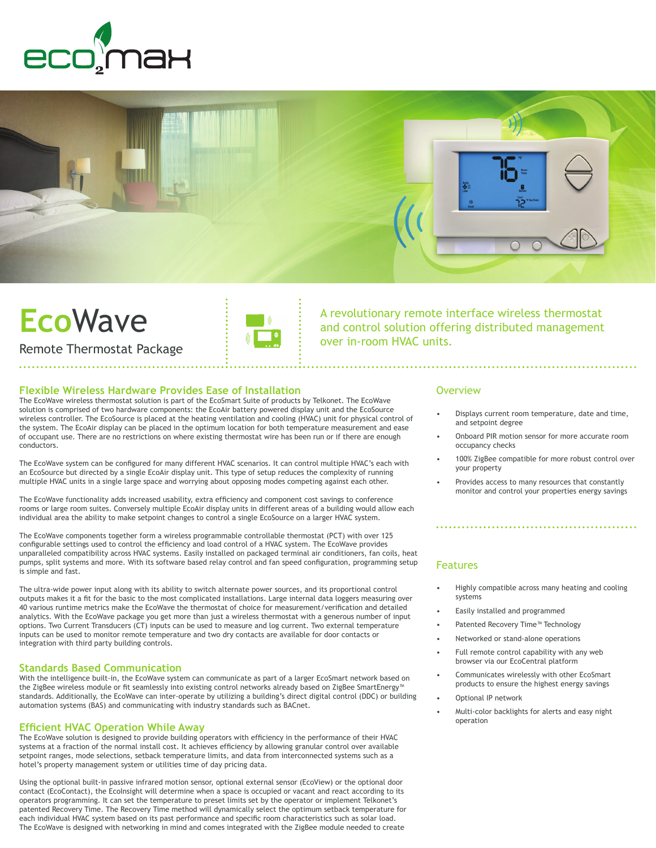



# **Eco**Wave



A revolutionary remote interface wireless thermostat and control solution offering distributed management over in-room HVAC units.

Remote Thermostat Package

#### **Flexible Wireless Hardware Provides Ease of Installation**

The EcoWave wireless thermostat solution is part of the EcoSmart Suite of products by Telkonet. The EcoWave solution is comprised of two hardware components: the EcoAir battery powered display unit and the EcoSource wireless controller. The EcoSource is placed at the heating ventilation and cooling (HVAC) unit for physical control of the system. The EcoAir display can be placed in the optimum location for both temperature measurement and ease of occupant use. There are no restrictions on where existing thermostat wire has been run or if there are enough conductors.

The EcoWave system can be configured for many different HVAC scenarios. It can control multiple HVAC's each with an EcoSource but directed by a single EcoAir display unit. This type of setup reduces the complexity of running multiple HVAC units in a single large space and worrying about opposing modes competing against each other.

The EcoWave functionality adds increased usability, extra efficiency and component cost savings to conference rooms or large room suites. Conversely multiple EcoAir display units in different areas of a building would allow each individual area the ability to make setpoint changes to control a single EcoSource on a larger HVAC system.

The EcoWave components together form a wireless programmable controllable thermostat (PCT) with over 125 configurable settings used to control the efficiency and load control of a HVAC system. The EcoWave provides unparalleled compatibility across HVAC systems. Easily installed on packaged terminal air conditioners, fan coils, heat pumps, split systems and more. With its software based relay control and fan speed configuration, programming setup is simple and fast.

The ultra-wide power input along with its ability to switch alternate power sources, and its proportional control outputs makes it a fit for the basic to the most complicated installations. Large internal data loggers measuring over 40 various runtime metrics make the EcoWave the thermostat of choice for measurement/verification and detailed analytics. With the EcoWave package you get more than just a wireless thermostat with a generous number of input options. Two Current Transducers (CT) inputs can be used to measure and log current. Two external temperature inputs can be used to monitor remote temperature and two dry contacts are available for door contacts or integration with third party building controls.

#### **Standards Based Communication**

With the intelligence built-in, the EcoWave system can communicate as part of a larger EcoSmart network based on the ZigBee wireless module or fit seamlessly into existing control networks already based on ZigBee SmartEnergy™ standards. Additionally, the EcoWave can inter-operate by utilizing a building's direct digital control (DDC) or building automation systems (BAS) and communicating with industry standards such as BACnet.

## **Efficient HVAC Operation While Away**

The EcoWave solution is designed to provide building operators with efficiency in the performance of their HVAC systems at a fraction of the normal install cost. It achieves efficiency by allowing granular control over available setpoint ranges, mode selections, setback temperature limits, and data from interconnected systems such as a hotel's property management system or utilities time of day pricing data.

Using the optional built-in passive infrared motion sensor, optional external sensor (EcoView) or the optional door contact (EcoContact), the EcoInsight will determine when a space is occupied or vacant and react according to its operators programming. It can set the temperature to preset limits set by the operator or implement Telkonet's patented Recovery Time. The Recovery Time method will dynamically select the optimum setback temperature for each individual HVAC system based on its past performance and specific room characteristics such as solar load. The EcoWave is designed with networking in mind and comes integrated with the ZigBee module needed to create

#### **Overview**

- Displays current room temperature, date and time, and setpoint degree
- Onboard PIR motion sensor for more accurate room occupancy checks
- 100% ZigBee compatible for more robust control over your property
- Provides access to many resources that constantly monitor and control your properties energy savings

# Features

- Highly compatible across many heating and cooling systems
- Easily installed and programmed
- Patented Recovery Time™ Technology
- Networked or stand-alone operations
- Full remote control capability with any web browser via our EcoCentral platform
- Communicates wirelessly with other EcoSmart products to ensure the highest energy savings
- Optional IP network
- Multi-color backlights for alerts and easy night operation